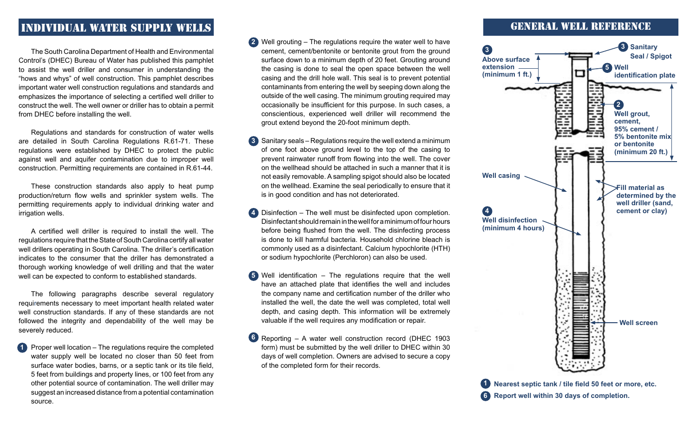## Individual water supply wells

The South Carolina Department of Health and Environmental Control's (DHEC) Bureau of Water has published this pamphlet to assist the well driller and consumer in understanding the "hows and whys" of well construction. This pamphlet describes important water well construction regulations and standards and emphasizes the importance of selecting a certified well driller to construct the well. The well owner or driller has to obtain a permit from DHEC before installing the well.

 Regulations and standards for construction of water wells are detailed in South Carolina Regulations R.61-71. These regulations were established by DHEC to protect the public against well and aquifer contamination due to improper well construction. Permitting requirements are contained in R.61-44.

 These construction standards also apply to heat pump production/return flow wells and sprinkler system wells. The permitting requirements apply to individual drinking water and irrigation wells.

 A certified well driller is required to install the well. The regulations require that the State of South Carolina certify all water well drillers operating in South Carolina. The driller's certification indicates to the consumer that the driller has demonstrated a thorough working knowledge of well drilling and that the water well can be expected to conform to established standards.

 The following paragraphs describe several regulatory requirements necessary to meet important health related water well construction standards. If any of these standards are not followed the integrity and dependability of the well may be severely reduced.

 Proper well location – The regulations require the completed water supply well be located no closer than 50 feet from surface water bodies, barns, or a septic tank or its tile field, 5 feet from buildings and property lines, or 100 feet from any other potential source of contamination. The well driller may suggest an increased distance from a potential contamination source. **1**

- Well grouting The regulations require the water well to have **2** cement, cement/bentonite or bentonite grout from the ground surface down to a minimum depth of 20 feet. Grouting around the casing is done to seal the open space between the well casing and the drill hole wall. This seal is to prevent potential contaminants from entering the well by seeping down along the outside of the well casing. The minimum grouting required may occasionally be insufficient for this purpose. In such cases, a conscientious, experienced well driller will recommend the grout extend beyond the 20-foot minimum depth.
- **3** Sanitary seals Regulations require the well extend a minimum of one foot above ground level to the top of the casing to prevent rainwater runoff from flowing into the well. The cover on the wellhead should be attached in such a manner that it is not easily removable. A sampling spigot should also be located on the wellhead. Examine the seal periodically to ensure that it is in good condition and has not deteriorated.
- Disinfection The well must be disinfected upon completion. **4** Disinfectant should remain in the well for a minimum of four hours before being flushed from the well. The disinfecting process is done to kill harmful bacteria. Household chlorine bleach is commonly used as a disinfectant. Calcium hypochlorite (HTH) or sodium hypochlorite (Perchloron) can also be used.
- Well identification The regulations require that the well **5** have an attached plate that identifies the well and includes the company name and certification number of the driller who installed the well, the date the well was completed, total well depth, and casing depth. This information will be extremely valuable if the well requires any modification or repair.
- Reporting A water well construction record (DHEC 1903 **6** form) must be submitted by the well driller to DHEC within 30 days of well completion. Owners are advised to secure a copy of the completed form for their records.

## General Well Reference



**Nearest septic tank / tile field 50 feet or more, etc. 1 Report well within 30 days of completion. 6**